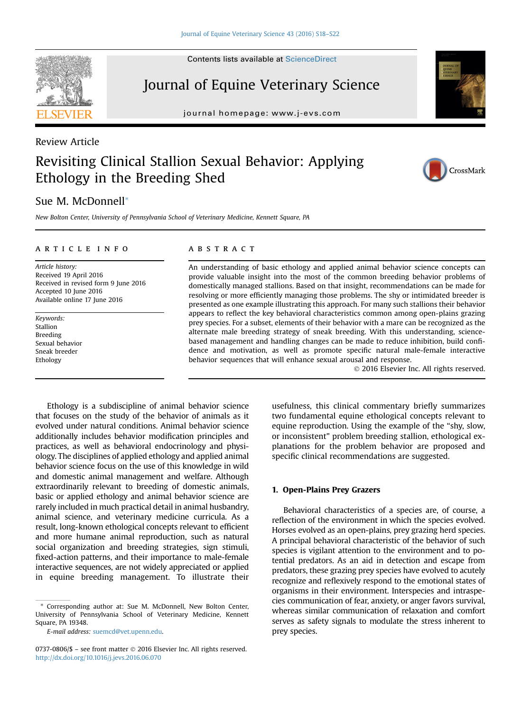# Journal of Equine Veterinary Science

journal homepage: [www.j-evs.com](http://www.j-evs.com)

## Review Article

## Revisiting Clinical Stallion Sexual Behavior: Applying Ethology in the Breeding Shed

### Sue M. McDonnell\*

New Bolton Center, University of Pennsylvania School of Veterinary Medicine, Kennett Square, PA

#### article info

Article history: Received 19 April 2016 Received in revised form 9 June 2016 Accepted 10 June 2016 Available online 17 June 2016

Keywords: Stallion Breeding Sexual behavior Sneak breeder Ethology

#### **ABSTRACT**

An understanding of basic ethology and applied animal behavior science concepts can provide valuable insight into the most of the common breeding behavior problems of domestically managed stallions. Based on that insight, recommendations can be made for resolving or more efficiently managing those problems. The shy or intimidated breeder is presented as one example illustrating this approach. For many such stallions their behavior appears to reflect the key behavioral characteristics common among open-plains grazing prey species. For a subset, elements of their behavior with a mare can be recognized as the alternate male breeding strategy of sneak breeding. With this understanding, sciencebased management and handling changes can be made to reduce inhibition, build confidence and motivation, as well as promote specific natural male-female interactive behavior sequences that will enhance sexual arousal and response.

2016 Elsevier Inc. All rights reserved.

Ethology is a subdiscipline of animal behavior science that focuses on the study of the behavior of animals as it evolved under natural conditions. Animal behavior science additionally includes behavior modification principles and practices, as well as behavioral endocrinology and physiology. The disciplines of applied ethology and applied animal behavior science focus on the use of this knowledge in wild and domestic animal management and welfare. Although extraordinarily relevant to breeding of domestic animals, basic or applied ethology and animal behavior science are rarely included in much practical detail in animal husbandry, animal science, and veterinary medicine curricula. As a result, long-known ethological concepts relevant to efficient and more humane animal reproduction, such as natural social organization and breeding strategies, sign stimuli, fixed-action patterns, and their importance to male-female interactive sequences, are not widely appreciated or applied in equine breeding management. To illustrate their

\* Corresponding author at: Sue M. McDonnell, New Bolton Center, University of Pennsylvania School of Veterinary Medicine, Kennett Square, PA 19348.

usefulness, this clinical commentary briefly summarizes two fundamental equine ethological concepts relevant to equine reproduction. Using the example of the "shy, slow, or inconsistent" problem breeding stallion, ethological explanations for the problem behavior are proposed and specific clinical recommendations are suggested.

#### 1. Open-Plains Prey Grazers

Behavioral characteristics of a species are, of course, a reflection of the environment in which the species evolved. Horses evolved as an open-plains, prey grazing herd species. A principal behavioral characteristic of the behavior of such species is vigilant attention to the environment and to potential predators. As an aid in detection and escape from predators, these grazing prey species have evolved to acutely recognize and reflexively respond to the emotional states of organisms in their environment. Interspecies and intraspecies communication of fear, anxiety, or anger favors survival, whereas similar communication of relaxation and comfort serves as safety signals to modulate the stress inherent to prey species.







E-mail address: [suemcd@vet.upenn.edu.](mailto:suemcd@vet.upenn.edu)

<sup>0737-0806/\$ -</sup> see front matter © 2016 Elsevier Inc. All rights reserved. <http://dx.doi.org/10.1016/j.jevs.2016.06.070>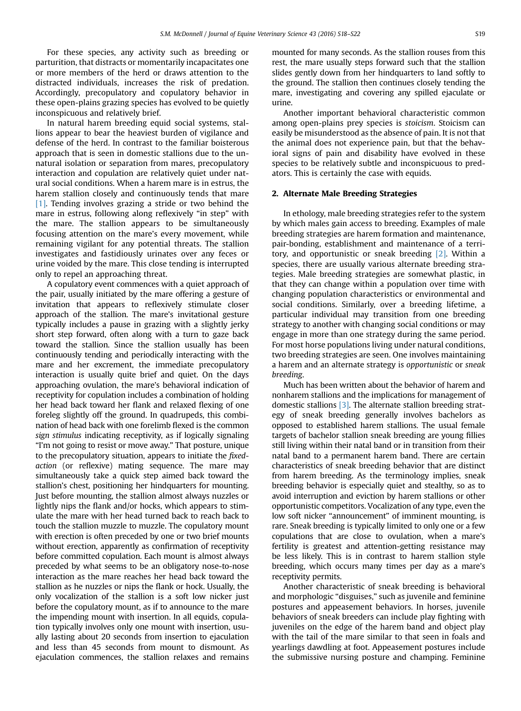For these species, any activity such as breeding or parturition, that distracts or momentarily incapacitates one or more members of the herd or draws attention to the distracted individuals, increases the risk of predation. Accordingly, precopulatory and copulatory behavior in these open-plains grazing species has evolved to be quietly inconspicuous and relatively brief.

In natural harem breeding equid social systems, stallions appear to bear the heaviest burden of vigilance and defense of the herd. In contrast to the familiar boisterous approach that is seen in domestic stallions due to the unnatural isolation or separation from mares, precopulatory interaction and copulation are relatively quiet under natural social conditions. When a harem mare is in estrus, the harem stallion closely and continuously tends that mare [\[1\]](#page-4-0). Tending involves grazing a stride or two behind the mare in estrus, following along reflexively "in step" with the mare. The stallion appears to be simultaneously focusing attention on the mare's every movement, while remaining vigilant for any potential threats. The stallion investigates and fastidiously urinates over any feces or urine voided by the mare. This close tending is interrupted only to repel an approaching threat.

A copulatory event commences with a quiet approach of the pair, usually initiated by the mare offering a gesture of invitation that appears to reflexively stimulate closer approach of the stallion. The mare's invitational gesture typically includes a pause in grazing with a slightly jerky short step forward, often along with a turn to gaze back toward the stallion. Since the stallion usually has been continuously tending and periodically interacting with the mare and her excrement, the immediate precopulatory interaction is usually quite brief and quiet. On the days approaching ovulation, the mare's behavioral indication of receptivity for copulation includes a combination of holding her head back toward her flank and relaxed flexing of one foreleg slightly off the ground. In quadrupeds, this combination of head back with one forelimb flexed is the common sign stimulus indicating receptivity, as if logically signaling "I'm not going to resist or move away." That posture, unique to the precopulatory situation, appears to initiate the fixedaction (or reflexive) mating sequence. The mare may simultaneously take a quick step aimed back toward the stallion's chest, positioning her hindquarters for mounting. Just before mounting, the stallion almost always nuzzles or lightly nips the flank and/or hocks, which appears to stimulate the mare with her head turned back to reach back to touch the stallion muzzle to muzzle. The copulatory mount with erection is often preceded by one or two brief mounts without erection, apparently as confirmation of receptivity before committed copulation. Each mount is almost always preceded by what seems to be an obligatory nose-to-nose interaction as the mare reaches her head back toward the stallion as he nuzzles or nips the flank or hock. Usually, the only vocalization of the stallion is a soft low nicker just before the copulatory mount, as if to announce to the mare the impending mount with insertion. In all equids, copulation typically involves only one mount with insertion, usually lasting about 20 seconds from insertion to ejaculation and less than 45 seconds from mount to dismount. As ejaculation commences, the stallion relaxes and remains

mounted for many seconds. As the stallion rouses from this rest, the mare usually steps forward such that the stallion slides gently down from her hindquarters to land softly to the ground. The stallion then continues closely tending the mare, investigating and covering any spilled ejaculate or urine.

Another important behavioral characteristic common among open-plains prey species is stoicism. Stoicism can easily be misunderstood as the absence of pain. It is not that the animal does not experience pain, but that the behavioral signs of pain and disability have evolved in these species to be relatively subtle and inconspicuous to predators. This is certainly the case with equids.

#### 2. Alternate Male Breeding Strategies

In ethology, male breeding strategies refer to the system by which males gain access to breeding. Examples of male breeding strategies are harem formation and maintenance, pair-bonding, establishment and maintenance of a territory, and opportunistic or sneak breeding [\[2\]](#page-4-0). Within a species, there are usually various alternate breeding strategies. Male breeding strategies are somewhat plastic, in that they can change within a population over time with changing population characteristics or environmental and social conditions. Similarly, over a breeding lifetime, a particular individual may transition from one breeding strategy to another with changing social conditions or may engage in more than one strategy during the same period. For most horse populations living under natural conditions, two breeding strategies are seen. One involves maintaining a harem and an alternate strategy is opportunistic or sneak breeding.

Much has been written about the behavior of harem and nonharem stallions and the implications for management of domestic stallions [\[3\].](#page-4-0) The alternate stallion breeding strategy of sneak breeding generally involves bachelors as opposed to established harem stallions. The usual female targets of bachelor stallion sneak breeding are young fillies still living within their natal band or in transition from their natal band to a permanent harem band. There are certain characteristics of sneak breeding behavior that are distinct from harem breeding. As the terminology implies, sneak breeding behavior is especially quiet and stealthy, so as to avoid interruption and eviction by harem stallions or other opportunistic competitors. Vocalization of any type, even the low soft nicker "announcement" of imminent mounting, is rare. Sneak breeding is typically limited to only one or a few copulations that are close to ovulation, when a mare's fertility is greatest and attention-getting resistance may be less likely. This is in contrast to harem stallion style breeding, which occurs many times per day as a mare's receptivity permits.

Another characteristic of sneak breeding is behavioral and morphologic "disguises," such as juvenile and feminine postures and appeasement behaviors. In horses, juvenile behaviors of sneak breeders can include play fighting with juveniles on the edge of the harem band and object play with the tail of the mare similar to that seen in foals and yearlings dawdling at foot. Appeasement postures include the submissive nursing posture and champing. Feminine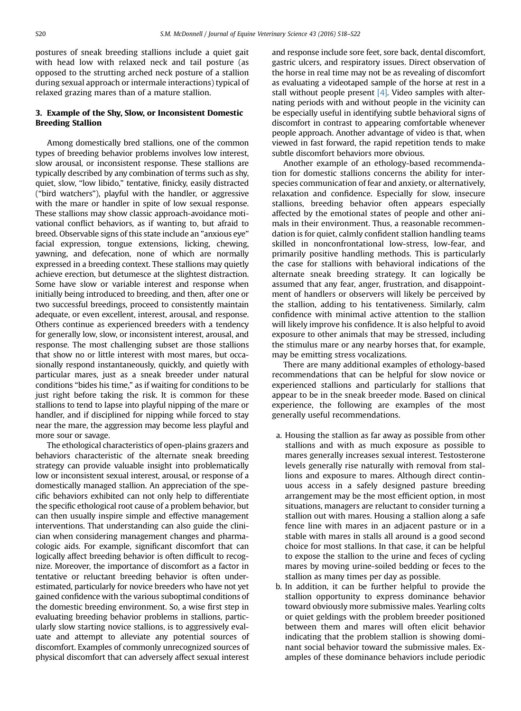postures of sneak breeding stallions include a quiet gait with head low with relaxed neck and tail posture (as opposed to the strutting arched neck posture of a stallion during sexual approach or intermale interactions) typical of relaxed grazing mares than of a mature stallion.

#### 3. Example of the Shy, Slow, or Inconsistent Domestic Breeding Stallion

Among domestically bred stallions, one of the common types of breeding behavior problems involves low interest, slow arousal, or inconsistent response. These stallions are typically described by any combination of terms such as shy, quiet, slow, "low libido," tentative, finicky, easily distracted ("bird watchers"), playful with the handler, or aggressive with the mare or handler in spite of low sexual response. These stallions may show classic approach-avoidance motivational conflict behaviors, as if wanting to, but afraid to breed. Observable signs of this state include an "anxious eye" facial expression, tongue extensions, licking, chewing, yawning, and defecation, none of which are normally expressed in a breeding context. These stallions may quietly achieve erection, but detumesce at the slightest distraction. Some have slow or variable interest and response when initially being introduced to breeding, and then, after one or two successful breedings, proceed to consistently maintain adequate, or even excellent, interest, arousal, and response. Others continue as experienced breeders with a tendency for generally low, slow, or inconsistent interest, arousal, and response. The most challenging subset are those stallions that show no or little interest with most mares, but occasionally respond instantaneously, quickly, and quietly with particular mares, just as a sneak breeder under natural conditions "bides his time," as if waiting for conditions to be just right before taking the risk. It is common for these stallions to tend to lapse into playful nipping of the mare or handler, and if disciplined for nipping while forced to stay near the mare, the aggression may become less playful and more sour or savage.

The ethological characteristics of open-plains grazers and behaviors characteristic of the alternate sneak breeding strategy can provide valuable insight into problematically low or inconsistent sexual interest, arousal, or response of a domestically managed stallion. An appreciation of the specific behaviors exhibited can not only help to differentiate the specific ethological root cause of a problem behavior, but can then usually inspire simple and effective management interventions. That understanding can also guide the clinician when considering management changes and pharmacologic aids. For example, significant discomfort that can logically affect breeding behavior is often difficult to recognize. Moreover, the importance of discomfort as a factor in tentative or reluctant breeding behavior is often underestimated, particularly for novice breeders who have not yet gained confidence with the various suboptimal conditions of the domestic breeding environment. So, a wise first step in evaluating breeding behavior problems in stallions, particularly slow starting novice stallions, is to aggressively evaluate and attempt to alleviate any potential sources of discomfort. Examples of commonly unrecognized sources of physical discomfort that can adversely affect sexual interest and response include sore feet, sore back, dental discomfort, gastric ulcers, and respiratory issues. Direct observation of the horse in real time may not be as revealing of discomfort as evaluating a videotaped sample of the horse at rest in a stall without people present [\[4\]](#page-4-0). Video samples with alternating periods with and without people in the vicinity can be especially useful in identifying subtle behavioral signs of discomfort in contrast to appearing comfortable whenever people approach. Another advantage of video is that, when viewed in fast forward, the rapid repetition tends to make subtle discomfort behaviors more obvious.

Another example of an ethology-based recommendation for domestic stallions concerns the ability for interspecies communication of fear and anxiety, or alternatively, relaxation and confidence. Especially for slow, insecure stallions, breeding behavior often appears especially affected by the emotional states of people and other animals in their environment. Thus, a reasonable recommendation is for quiet, calmly confident stallion handling teams skilled in nonconfrontational low-stress, low-fear, and primarily positive handling methods. This is particularly the case for stallions with behavioral indications of the alternate sneak breeding strategy. It can logically be assumed that any fear, anger, frustration, and disappointment of handlers or observers will likely be perceived by the stallion, adding to his tentativeness. Similarly, calm confidence with minimal active attention to the stallion will likely improve his confidence. It is also helpful to avoid exposure to other animals that may be stressed, including the stimulus mare or any nearby horses that, for example, may be emitting stress vocalizations.

There are many additional examples of ethology-based recommendations that can be helpful for slow novice or experienced stallions and particularly for stallions that appear to be in the sneak breeder mode. Based on clinical experience, the following are examples of the most generally useful recommendations.

- a. Housing the stallion as far away as possible from other stallions and with as much exposure as possible to mares generally increases sexual interest. Testosterone levels generally rise naturally with removal from stallions and exposure to mares. Although direct continuous access in a safely designed pasture breeding arrangement may be the most efficient option, in most situations, managers are reluctant to consider turning a stallion out with mares. Housing a stallion along a safe fence line with mares in an adjacent pasture or in a stable with mares in stalls all around is a good second choice for most stallions. In that case, it can be helpful to expose the stallion to the urine and feces of cycling mares by moving urine-soiled bedding or feces to the stallion as many times per day as possible.
- b. In addition, it can be further helpful to provide the stallion opportunity to express dominance behavior toward obviously more submissive males. Yearling colts or quiet geldings with the problem breeder positioned between them and mares will often elicit behavior indicating that the problem stallion is showing dominant social behavior toward the submissive males. Examples of these dominance behaviors include periodic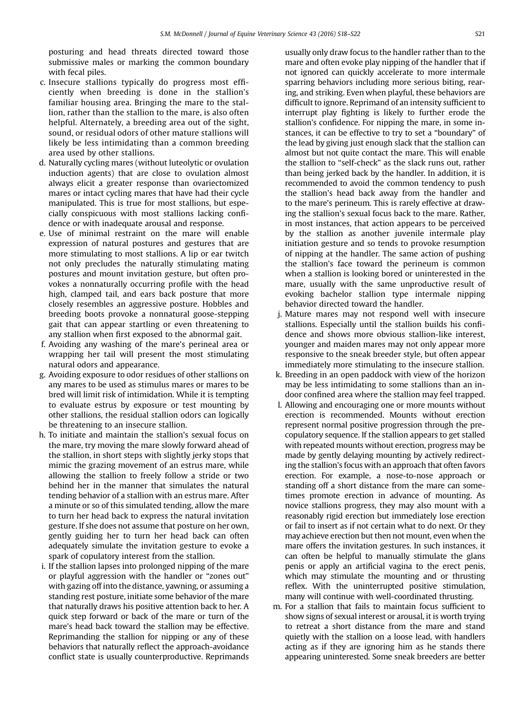posturing and head threats directed toward those submissive males or marking the common boundary with fecal piles.

- c. Insecure stallions typically do progress most efficiently when breeding is done in the stallion's familiar housing area. Bringing the mare to the stallion, rather than the stallion to the mare, is also often helpful. Alternately, a breeding area out of the sight, sound, or residual odors of other mature stallions will likely be less intimidating than a common breeding area used by other stallions.
- d. Naturally cycling mares (without luteolytic or ovulation induction agents) that are close to ovulation almost always elicit a greater response than ovariectomized mares or intact cycling mares that have had their cycle manipulated. This is true for most stallions, but especially conspicuous with most stallions lacking confidence or with inadequate arousal and response.
- e. Use of minimal restraint on the mare will enable expression of natural postures and gestures that are more stimulating to most stallions. A lip or ear twitch not only precludes the naturally stimulating mating postures and mount invitation gesture, but often provokes a nonnaturally occurring profile with the head high, clamped tail, and ears back posture that more closely resembles an aggressive posture. Hobbles and breeding boots provoke a nonnatural goose-stepping gait that can appear startling or even threatening to any stallion when first exposed to the abnormal gait.
- f. Avoiding any washing of the mare's perineal area or wrapping her tail will present the most stimulating natural odors and appearance.
- g. Avoiding exposure to odor residues of other stallions on any mares to be used as stimulus mares or mares to be bred will limit risk of intimidation. While it is tempting to evaluate estrus by exposure or test mounting by other stallions, the residual stallion odors can logically be threatening to an insecure stallion.
- h. To initiate and maintain the stallion's sexual focus on the mare, try moving the mare slowly forward ahead of the stallion, in short steps with slightly jerky stops that mimic the grazing movement of an estrus mare, while allowing the stallion to freely follow a stride or two behind her in the manner that simulates the natural tending behavior of a stallion with an estrus mare. After a minute or so of this simulated tending, allow the mare to turn her head back to express the natural invitation gesture. If she does not assume that posture on her own, gently guiding her to turn her head back can often adequately simulate the invitation gesture to evoke a spark of copulatory interest from the stallion.
- i. If the stallion lapses into prolonged nipping of the mare or playful aggression with the handler or "zones out" with gazing off into the distance, yawning, or assuming a standing rest posture, initiate some behavior of the mare that naturally draws his positive attention back to her. A quick step forward or back of the mare or turn of the mare's head back toward the stallion may be effective. Reprimanding the stallion for nipping or any of these behaviors that naturally reflect the approach-avoidance conflict state is usually counterproductive. Reprimands

usually only draw focus to the handler rather than to the mare and often evoke play nipping of the handler that if not ignored can quickly accelerate to more intermale sparring behaviors including more serious biting, rearing, and striking. Even when playful, these behaviors are difficult to ignore. Reprimand of an intensity sufficient to interrupt play fighting is likely to further erode the stallion's confidence. For nipping the mare, in some instances, it can be effective to try to set a "boundary" of the lead by giving just enough slack that the stallion can almost but not quite contact the mare. This will enable the stallion to "self-check" as the slack runs out, rather than being jerked back by the handler. In addition, it is recommended to avoid the common tendency to push the stallion's head back away from the handler and to the mare's perineum. This is rarely effective at drawing the stallion's sexual focus back to the mare. Rather, in most instances, that action appears to be perceived by the stallion as another juvenile intermale play initiation gesture and so tends to provoke resumption of nipping at the handler. The same action of pushing the stallion's face toward the perineum is common when a stallion is looking bored or uninterested in the mare, usually with the same unproductive result of evoking bachelor stallion type intermale nipping behavior directed toward the handler.

- j. Mature mares may not respond well with insecure stallions. Especially until the stallion builds his confidence and shows more obvious stallion-like interest, younger and maiden mares may not only appear more responsive to the sneak breeder style, but often appear immediately more stimulating to the insecure stallion.
- k. Breeding in an open paddock with view of the horizon may be less intimidating to some stallions than an indoor confined area where the stallion may feel trapped.
- l. Allowing and encouraging one or more mounts without erection is recommended. Mounts without erection represent normal positive progression through the precopulatory sequence. If the stallion appears to get stalled with repeated mounts without erection, progress may be made by gently delaying mounting by actively redirecting the stallion's focus with an approach that often favors erection. For example, a nose-to-nose approach or standing off a short distance from the mare can sometimes promote erection in advance of mounting. As novice stallions progress, they may also mount with a reasonably rigid erection but immediately lose erection or fail to insert as if not certain what to do next. Or they may achieve erection but then not mount, even when the mare offers the invitation gestures. In such instances, it can often be helpful to manually stimulate the glans penis or apply an artificial vagina to the erect penis, which may stimulate the mounting and or thrusting reflex. With the uninterrupted positive stimulation, many will continue with well-coordinated thrusting.
- m. For a stallion that fails to maintain focus sufficient to show signs of sexual interest or arousal, it is worth trying to retreat a short distance from the mare and stand quietly with the stallion on a loose lead, with handlers acting as if they are ignoring him as he stands there appearing uninterested. Some sneak breeders are better